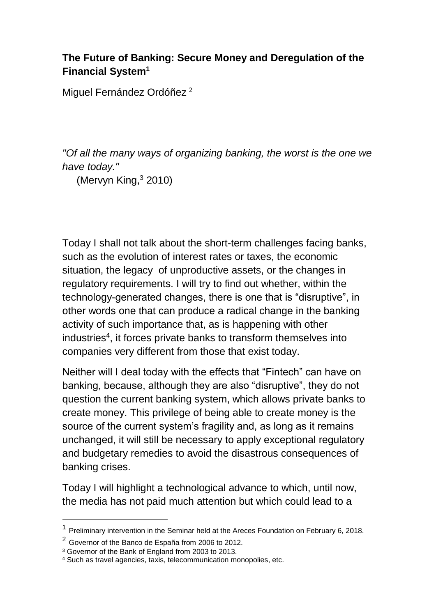## **The Future of Banking: Secure Money and Deregulation of the Financial System<sup>1</sup>**

Miguel Fernández Ordóñez <sup>2</sup>

*"Of all the many ways of organizing banking, the worst is the one we have today."*

(Mervyn King,<sup>3</sup> 2010)

Today I shall not talk about the short-term challenges facing banks, such as the evolution of interest rates or taxes, the economic situation, the legacy of unproductive assets, or the changes in regulatory requirements. I will try to find out whether, within the technology-generated changes, there is one that is "disruptive", in other words one that can produce a radical change in the banking activity of such importance that, as is happening with other industries<sup>4</sup>, it forces private banks to transform themselves into companies very different from those that exist today.

Neither will I deal today with the effects that "Fintech" can have on banking, because, although they are also "disruptive", they do not question the current banking system, which allows private banks to create money. This privilege of being able to create money is the source of the current system's fragility and, as long as it remains unchanged, it will still be necessary to apply exceptional regulatory and budgetary remedies to avoid the disastrous consequences of banking crises.

Today I will highlight a technological advance to which, until now, the media has not paid much attention but which could lead to a

-

<sup>&</sup>lt;sup>1</sup> Preliminary intervention in the Seminar held at the Areces Foundation on February 6, 2018.

<sup>2</sup> Governor of the Banco de España from 2006 to 2012.

<sup>3</sup> Governor of the Bank of England from 2003 to 2013.

<sup>4</sup> Such as travel agencies, taxis, telecommunication monopolies, etc.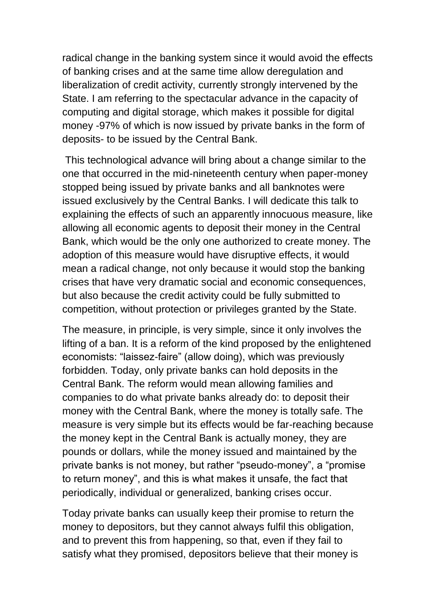radical change in the banking system since it would avoid the effects of banking crises and at the same time allow deregulation and liberalization of credit activity, currently strongly intervened by the State. I am referring to the spectacular advance in the capacity of computing and digital storage, which makes it possible for digital money -97% of which is now issued by private banks in the form of deposits- to be issued by the Central Bank.

This technological advance will bring about a change similar to the one that occurred in the mid-nineteenth century when paper-money stopped being issued by private banks and all banknotes were issued exclusively by the Central Banks. I will dedicate this talk to explaining the effects of such an apparently innocuous measure, like allowing all economic agents to deposit their money in the Central Bank, which would be the only one authorized to create money. The adoption of this measure would have disruptive effects, it would mean a radical change, not only because it would stop the banking crises that have very dramatic social and economic consequences, but also because the credit activity could be fully submitted to competition, without protection or privileges granted by the State.

The measure, in principle, is very simple, since it only involves the lifting of a ban. It is a reform of the kind proposed by the enlightened economists: "laissez-faire" (allow doing), which was previously forbidden. Today, only private banks can hold deposits in the Central Bank. The reform would mean allowing families and companies to do what private banks already do: to deposit their money with the Central Bank, where the money is totally safe. The measure is very simple but its effects would be far-reaching because the money kept in the Central Bank is actually money, they are pounds or dollars, while the money issued and maintained by the private banks is not money, but rather "pseudo-money", a "promise to return money", and this is what makes it unsafe, the fact that periodically, individual or generalized, banking crises occur.

Today private banks can usually keep their promise to return the money to depositors, but they cannot always fulfil this obligation, and to prevent this from happening, so that, even if they fail to satisfy what they promised, depositors believe that their money is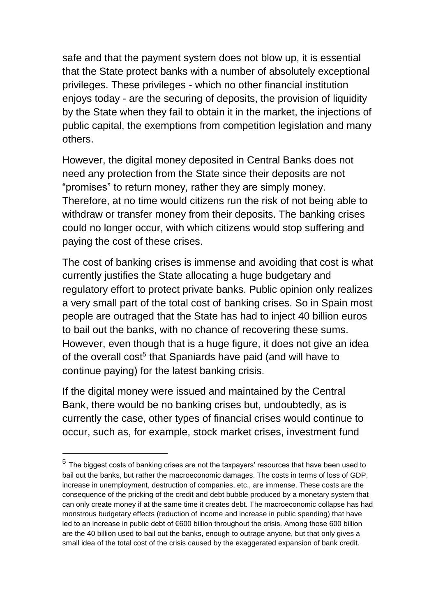safe and that the payment system does not blow up, it is essential that the State protect banks with a number of absolutely exceptional privileges. These privileges - which no other financial institution enjoys today - are the securing of deposits, the provision of liquidity by the State when they fail to obtain it in the market, the injections of public capital, the exemptions from competition legislation and many others.

However, the digital money deposited in Central Banks does not need any protection from the State since their deposits are not "promises" to return money, rather they are simply money. Therefore, at no time would citizens run the risk of not being able to withdraw or transfer money from their deposits. The banking crises could no longer occur, with which citizens would stop suffering and paying the cost of these crises.

The cost of banking crises is immense and avoiding that cost is what currently justifies the State allocating a huge budgetary and regulatory effort to protect private banks. Public opinion only realizes a very small part of the total cost of banking crises. So in Spain most people are outraged that the State has had to inject 40 billion euros to bail out the banks, with no chance of recovering these sums. However, even though that is a huge figure, it does not give an idea of the overall cost<sup>5</sup> that Spaniards have paid (and will have to continue paying) for the latest banking crisis.

If the digital money were issued and maintained by the Central Bank, there would be no banking crises but, undoubtedly, as is currently the case, other types of financial crises would continue to occur, such as, for example, stock market crises, investment fund

 $\overline{a}$ 

<sup>&</sup>lt;sup>5</sup> The biggest costs of banking crises are not the taxpayers' resources that have been used to bail out the banks, but rather the macroeconomic damages. The costs in terms of loss of GDP, increase in unemployment, destruction of companies, etc., are immense. These costs are the consequence of the pricking of the credit and debt bubble produced by a monetary system that can only create money if at the same time it creates debt. The macroeconomic collapse has had monstrous budgetary effects (reduction of income and increase in public spending) that have led to an increase in public debt of €600 billion throughout the crisis. Among those 600 billion are the 40 billion used to bail out the banks, enough to outrage anyone, but that only gives a small idea of the total cost of the crisis caused by the exaggerated expansion of bank credit.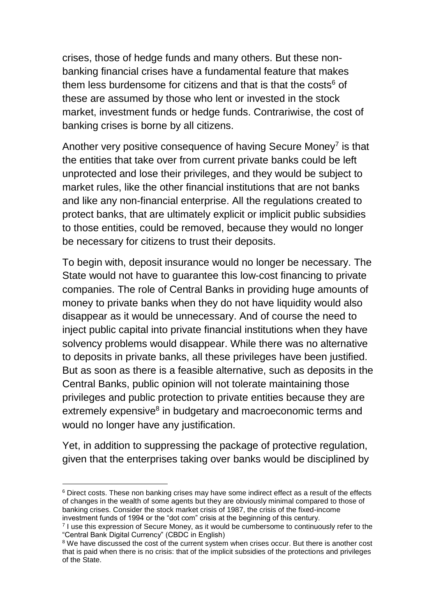crises, those of hedge funds and many others. But these nonbanking financial crises have a fundamental feature that makes them less burdensome for citizens and that is that the costs<sup>6</sup> of these are assumed by those who lent or invested in the stock market, investment funds or hedge funds. Contrariwise, the cost of banking crises is borne by all citizens.

Another very positive consequence of having Secure Money $<sup>7</sup>$  is that</sup> the entities that take over from current private banks could be left unprotected and lose their privileges, and they would be subject to market rules, like the other financial institutions that are not banks and like any non-financial enterprise. All the regulations created to protect banks, that are ultimately explicit or implicit public subsidies to those entities, could be removed, because they would no longer be necessary for citizens to trust their deposits.

To begin with, deposit insurance would no longer be necessary. The State would not have to guarantee this low-cost financing to private companies. The role of Central Banks in providing huge amounts of money to private banks when they do not have liquidity would also disappear as it would be unnecessary. And of course the need to inject public capital into private financial institutions when they have solvency problems would disappear. While there was no alternative to deposits in private banks, all these privileges have been justified. But as soon as there is a feasible alternative, such as deposits in the Central Banks, public opinion will not tolerate maintaining those privileges and public protection to private entities because they are extremely expensive<sup>8</sup> in budgetary and macroeconomic terms and would no longer have any justification.

Yet, in addition to suppressing the package of protective regulation, given that the enterprises taking over banks would be disciplined by

 $\overline{a}$ <sup>6</sup> Direct costs. These non banking crises may have some indirect effect as a result of the effects of changes in the wealth of some agents but they are obviously minimal compared to those of banking crises. Consider the stock market crisis of 1987, the crisis of the fixed-income investment funds of 1994 or the "dot com" crisis at the beginning of this century.

<sup>7</sup> I use this expression of Secure Money, as it would be cumbersome to continuously refer to the "Central Bank Digital Currency" (CBDC in English)

<sup>&</sup>lt;sup>8</sup> We have discussed the cost of the current system when crises occur. But there is another cost that is paid when there is no crisis: that of the implicit subsidies of the protections and privileges of the State.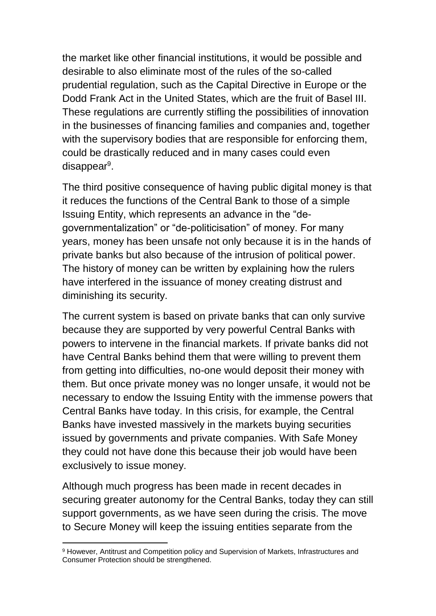the market like other financial institutions, it would be possible and desirable to also eliminate most of the rules of the so-called prudential regulation, such as the Capital Directive in Europe or the Dodd Frank Act in the United States, which are the fruit of Basel III. These regulations are currently stifling the possibilities of innovation in the businesses of financing families and companies and, together with the supervisory bodies that are responsible for enforcing them, could be drastically reduced and in many cases could even disappear<sup>9</sup>.

The third positive consequence of having public digital money is that it reduces the functions of the Central Bank to those of a simple Issuing Entity, which represents an advance in the "degovernmentalization" or "de-politicisation" of money. For many years, money has been unsafe not only because it is in the hands of private banks but also because of the intrusion of political power. The history of money can be written by explaining how the rulers have interfered in the issuance of money creating distrust and diminishing its security.

The current system is based on private banks that can only survive because they are supported by very powerful Central Banks with powers to intervene in the financial markets. If private banks did not have Central Banks behind them that were willing to prevent them from getting into difficulties, no-one would deposit their money with them. But once private money was no longer unsafe, it would not be necessary to endow the Issuing Entity with the immense powers that Central Banks have today. In this crisis, for example, the Central Banks have invested massively in the markets buying securities issued by governments and private companies. With Safe Money they could not have done this because their job would have been exclusively to issue money.

Although much progress has been made in recent decades in securing greater autonomy for the Central Banks, today they can still support governments, as we have seen during the crisis. The move to Secure Money will keep the issuing entities separate from the

<sup>-</sup><sup>9</sup> However, Antitrust and Competition policy and Supervision of Markets, Infrastructures and Consumer Protection should be strengthened.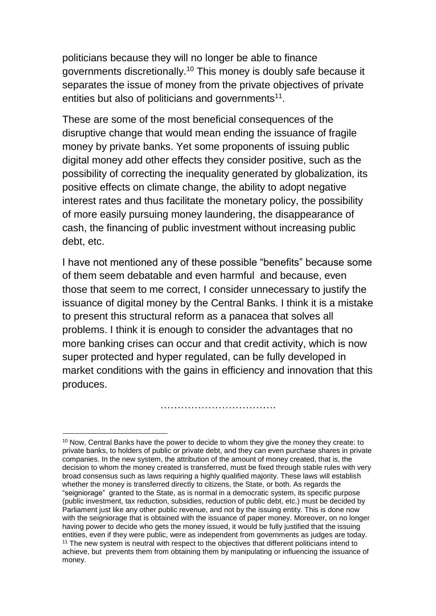politicians because they will no longer be able to finance governments discretionally.<sup>10</sup> This money is doubly safe because it separates the issue of money from the private objectives of private entities but also of politicians and governments<sup>11</sup>.

These are some of the most beneficial consequences of the disruptive change that would mean ending the issuance of fragile money by private banks. Yet some proponents of issuing public digital money add other effects they consider positive, such as the possibility of correcting the inequality generated by globalization, its positive effects on climate change, the ability to adopt negative interest rates and thus facilitate the monetary policy, the possibility of more easily pursuing money laundering, the disappearance of cash, the financing of public investment without increasing public debt, etc.

I have not mentioned any of these possible "benefits" because some of them seem debatable and even harmful and because, even those that seem to me correct, I consider unnecessary to justify the issuance of digital money by the Central Banks. I think it is a mistake to present this structural reform as a panacea that solves all problems. I think it is enough to consider the advantages that no more banking crises can occur and that credit activity, which is now super protected and hyper regulated, can be fully developed in market conditions with the gains in efficiency and innovation that this produces.

…………………………….

 $\overline{a}$ <sup>10</sup> Now, Central Banks have the power to decide to whom they give the money they create: to private banks, to holders of public or private debt, and they can even purchase shares in private companies. In the new system, the attribution of the amount of money created, that is, the decision to whom the money created is transferred, must be fixed through stable rules with very broad consensus such as laws requiring a highly qualified majority. These laws will establish whether the money is transferred directly to citizens, the State, or both. As regards the "seigniorage" granted to the State, as is normal in a democratic system, its specific purpose (public investment, tax reduction, subsidies, reduction of public debt, etc.) must be decided by Parliament just like any other public revenue, and not by the issuing entity. This is done now with the seigniorage that is obtained with the issuance of paper money. Moreover, on no longer having power to decide who gets the money issued, it would be fully justified that the issuing entities, even if they were public, were as independent from governments as judges are today. <sup>11</sup> The new system is neutral with respect to the objectives that different politicians intend to achieve, but prevents them from obtaining them by manipulating or influencing the issuance of money.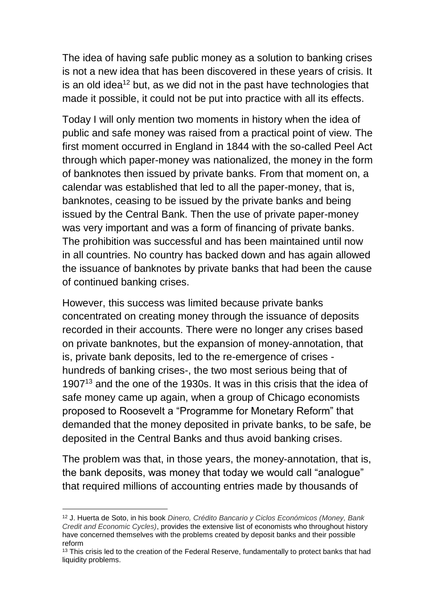The idea of having safe public money as a solution to banking crises is not a new idea that has been discovered in these years of crisis. It is an old idea<sup>12</sup> but, as we did not in the past have technologies that made it possible, it could not be put into practice with all its effects.

Today I will only mention two moments in history when the idea of public and safe money was raised from a practical point of view. The first moment occurred in England in 1844 with the so-called Peel Act through which paper-money was nationalized, the money in the form of banknotes then issued by private banks. From that moment on, a calendar was established that led to all the paper-money, that is, banknotes, ceasing to be issued by the private banks and being issued by the Central Bank. Then the use of private paper-money was very important and was a form of financing of private banks. The prohibition was successful and has been maintained until now in all countries. No country has backed down and has again allowed the issuance of banknotes by private banks that had been the cause of continued banking crises.

However, this success was limited because private banks concentrated on creating money through the issuance of deposits recorded in their accounts. There were no longer any crises based on private banknotes, but the expansion of money-annotation, that is, private bank deposits, led to the re-emergence of crises hundreds of banking crises-, the two most serious being that of 1907<sup>13</sup> and the one of the 1930s. It was in this crisis that the idea of safe money came up again, when a group of Chicago economists proposed to Roosevelt a "Programme for Monetary Reform" that demanded that the money deposited in private banks, to be safe, be deposited in the Central Banks and thus avoid banking crises.

The problem was that, in those years, the money-annotation, that is, the bank deposits, was money that today we would call "analogue" that required millions of accounting entries made by thousands of

 $\overline{a}$ 

<sup>12</sup> J. Huerta de Soto, in his book *Dinero, Crédito Bancario y Ciclos Económicos (Money, Bank Credit and Economic Cycles)*, provides the extensive list of economists who throughout history have concerned themselves with the problems created by deposit banks and their possible reform

<sup>&</sup>lt;sup>13</sup> This crisis led to the creation of the Federal Reserve, fundamentally to protect banks that had liquidity problems.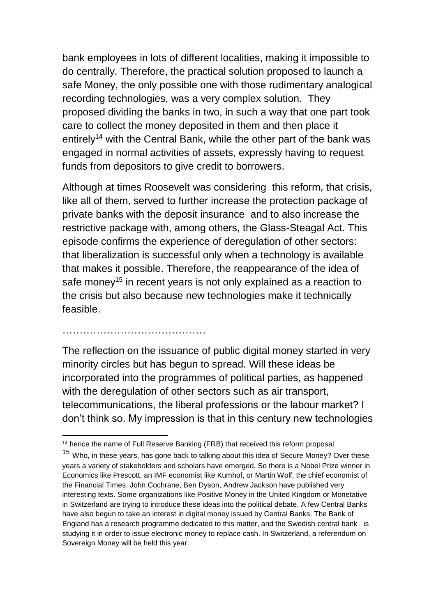bank employees in lots of different localities, making it impossible to do centrally. Therefore, the practical solution proposed to launch a safe Money, the only possible one with those rudimentary analogical recording technologies, was a very complex solution. They proposed dividing the banks in two, in such a way that one part took care to collect the money deposited in them and then place it entirely<sup>14</sup> with the Central Bank, while the other part of the bank was engaged in normal activities of assets, expressly having to request funds from depositors to give credit to borrowers.

Although at times Roosevelt was considering this reform, that crisis, like all of them, served to further increase the protection package of private banks with the deposit insurance and to also increase the restrictive package with, among others, the Glass-Steagal Act. This episode confirms the experience of deregulation of other sectors: that liberalization is successful only when a technology is available that makes it possible. Therefore, the reappearance of the idea of safe money<sup>15</sup> in recent years is not only explained as a reaction to the crisis but also because new technologies make it technically feasible.

## ……………………………………

The reflection on the issuance of public digital money started in very minority circles but has begun to spread. Will these ideas be incorporated into the programmes of political parties, as happened with the deregulation of other sectors such as air transport, telecommunications, the liberal professions or the labour market? I don't think so. My impression is that in this century new technologies

 $\overline{a}$ <sup>14</sup> hence the name of Full Reserve Banking (FRB) that received this reform proposal.

<sup>&</sup>lt;sup>15</sup> Who, in these years, has gone back to talking about this idea of Secure Money? Over these years a variety of stakeholders and scholars have emerged. So there is a Nobel Prize winner in Economics like Prescott, an IMF economist like Kumhof, or Martin Wolf, the chief economist of the Financial Times. John Cochrane, Ben Dyson, Andrew Jackson have published very interesting texts. Some organizations like Positive Money in the United Kingdom or Monetative in Switzerland are trying to introduce these ideas into the political debate. A few Central Banks have also begun to take an interest in digital money issued by Central Banks. The Bank of England has a research programme dedicated to this matter, and the Swedish central bank is studying it in order to issue electronic money to replace cash. In Switzerland, a referendum on Sovereign Money will be held this year.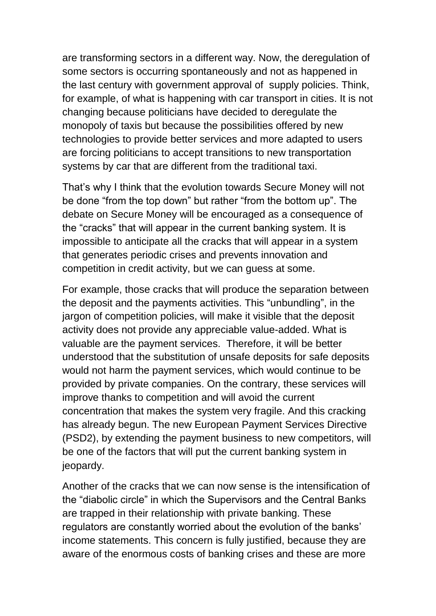are transforming sectors in a different way. Now, the deregulation of some sectors is occurring spontaneously and not as happened in the last century with government approval of supply policies. Think, for example, of what is happening with car transport in cities. It is not changing because politicians have decided to deregulate the monopoly of taxis but because the possibilities offered by new technologies to provide better services and more adapted to users are forcing politicians to accept transitions to new transportation systems by car that are different from the traditional taxi.

That's why I think that the evolution towards Secure Money will not be done "from the top down" but rather "from the bottom up". The debate on Secure Money will be encouraged as a consequence of the "cracks" that will appear in the current banking system. It is impossible to anticipate all the cracks that will appear in a system that generates periodic crises and prevents innovation and competition in credit activity, but we can guess at some.

For example, those cracks that will produce the separation between the deposit and the payments activities. This "unbundling", in the jargon of competition policies, will make it visible that the deposit activity does not provide any appreciable value-added. What is valuable are the payment services. Therefore, it will be better understood that the substitution of unsafe deposits for safe deposits would not harm the payment services, which would continue to be provided by private companies. On the contrary, these services will improve thanks to competition and will avoid the current concentration that makes the system very fragile. And this cracking has already begun. The new European Payment Services Directive (PSD2), by extending the payment business to new competitors, will be one of the factors that will put the current banking system in jeopardy.

Another of the cracks that we can now sense is the intensification of the "diabolic circle" in which the Supervisors and the Central Banks are trapped in their relationship with private banking. These regulators are constantly worried about the evolution of the banks' income statements. This concern is fully justified, because they are aware of the enormous costs of banking crises and these are more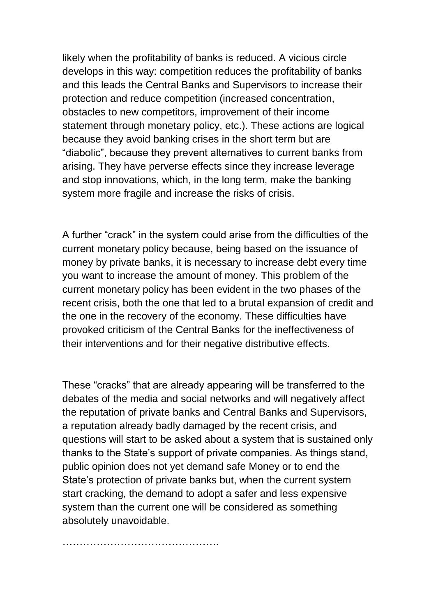likely when the profitability of banks is reduced. A vicious circle develops in this way: competition reduces the profitability of banks and this leads the Central Banks and Supervisors to increase their protection and reduce competition (increased concentration, obstacles to new competitors, improvement of their income statement through monetary policy, etc.). These actions are logical because they avoid banking crises in the short term but are "diabolic", because they prevent alternatives to current banks from arising. They have perverse effects since they increase leverage and stop innovations, which, in the long term, make the banking system more fragile and increase the risks of crisis.

A further "crack" in the system could arise from the difficulties of the current monetary policy because, being based on the issuance of money by private banks, it is necessary to increase debt every time you want to increase the amount of money. This problem of the current monetary policy has been evident in the two phases of the recent crisis, both the one that led to a brutal expansion of credit and the one in the recovery of the economy. These difficulties have provoked criticism of the Central Banks for the ineffectiveness of their interventions and for their negative distributive effects.

These "cracks" that are already appearing will be transferred to the debates of the media and social networks and will negatively affect the reputation of private banks and Central Banks and Supervisors, a reputation already badly damaged by the recent crisis, and questions will start to be asked about a system that is sustained only thanks to the State's support of private companies. As things stand, public opinion does not yet demand safe Money or to end the State's protection of private banks but, when the current system start cracking, the demand to adopt a safer and less expensive system than the current one will be considered as something absolutely unavoidable.

……………………………………….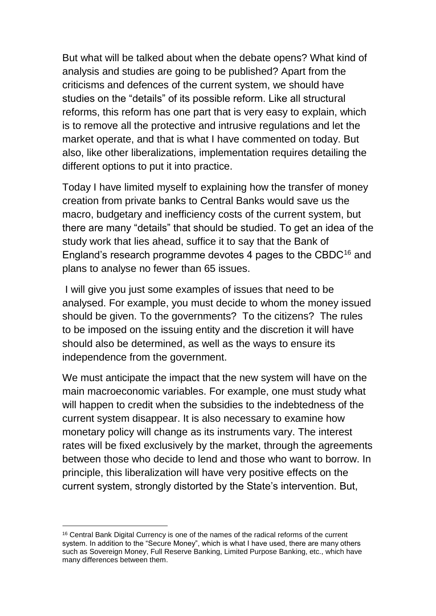But what will be talked about when the debate opens? What kind of analysis and studies are going to be published? Apart from the criticisms and defences of the current system, we should have studies on the "details" of its possible reform. Like all structural reforms, this reform has one part that is very easy to explain, which is to remove all the protective and intrusive regulations and let the market operate, and that is what I have commented on today. But also, like other liberalizations, implementation requires detailing the different options to put it into practice.

Today I have limited myself to explaining how the transfer of money creation from private banks to Central Banks would save us the macro, budgetary and inefficiency costs of the current system, but there are many "details" that should be studied. To get an idea of the study work that lies ahead, suffice it to say that the Bank of England's research programme devotes 4 pages to the CBDC<sup>16</sup> and plans to analyse no fewer than 65 issues.

I will give you just some examples of issues that need to be analysed. For example, you must decide to whom the money issued should be given. To the governments? To the citizens? The rules to be imposed on the issuing entity and the discretion it will have should also be determined, as well as the ways to ensure its independence from the government.

We must anticipate the impact that the new system will have on the main macroeconomic variables. For example, one must study what will happen to credit when the subsidies to the indebtedness of the current system disappear. It is also necessary to examine how monetary policy will change as its instruments vary. The interest rates will be fixed exclusively by the market, through the agreements between those who decide to lend and those who want to borrow. In principle, this liberalization will have very positive effects on the current system, strongly distorted by the State's intervention. But,

-

<sup>&</sup>lt;sup>16</sup> Central Bank Digital Currency is one of the names of the radical reforms of the current system. In addition to the "Secure Money", which is what I have used, there are many others such as Sovereign Money, Full Reserve Banking, Limited Purpose Banking, etc., which have many differences between them.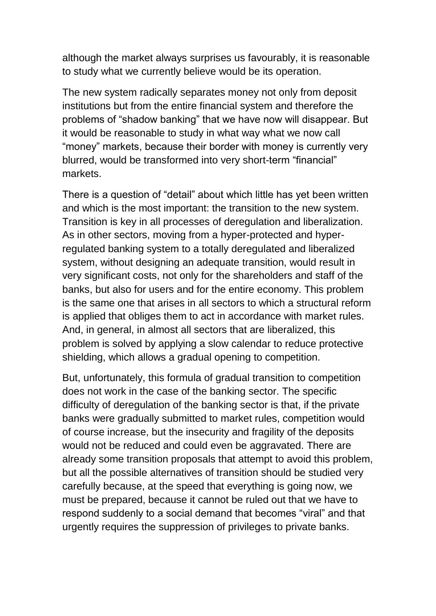although the market always surprises us favourably, it is reasonable to study what we currently believe would be its operation.

The new system radically separates money not only from deposit institutions but from the entire financial system and therefore the problems of "shadow banking" that we have now will disappear. But it would be reasonable to study in what way what we now call "money" markets, because their border with money is currently very blurred, would be transformed into very short-term "financial" markets.

There is a question of "detail" about which little has yet been written and which is the most important: the transition to the new system. Transition is key in all processes of deregulation and liberalization. As in other sectors, moving from a hyper-protected and hyperregulated banking system to a totally deregulated and liberalized system, without designing an adequate transition, would result in very significant costs, not only for the shareholders and staff of the banks, but also for users and for the entire economy. This problem is the same one that arises in all sectors to which a structural reform is applied that obliges them to act in accordance with market rules. And, in general, in almost all sectors that are liberalized, this problem is solved by applying a slow calendar to reduce protective shielding, which allows a gradual opening to competition.

But, unfortunately, this formula of gradual transition to competition does not work in the case of the banking sector. The specific difficulty of deregulation of the banking sector is that, if the private banks were gradually submitted to market rules, competition would of course increase, but the insecurity and fragility of the deposits would not be reduced and could even be aggravated. There are already some transition proposals that attempt to avoid this problem, but all the possible alternatives of transition should be studied very carefully because, at the speed that everything is going now, we must be prepared, because it cannot be ruled out that we have to respond suddenly to a social demand that becomes "viral" and that urgently requires the suppression of privileges to private banks.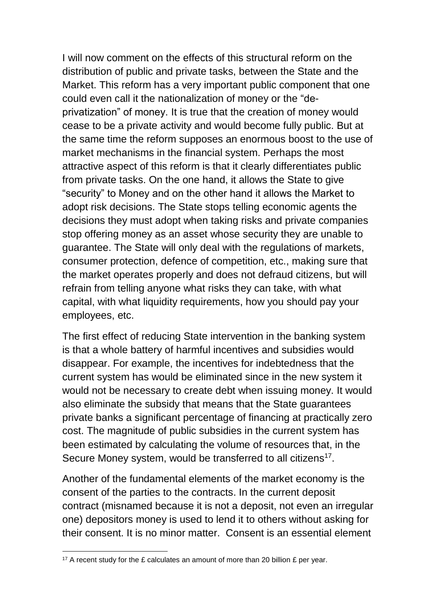I will now comment on the effects of this structural reform on the distribution of public and private tasks, between the State and the Market. This reform has a very important public component that one could even call it the nationalization of money or the "deprivatization" of money. It is true that the creation of money would cease to be a private activity and would become fully public. But at the same time the reform supposes an enormous boost to the use of market mechanisms in the financial system. Perhaps the most attractive aspect of this reform is that it clearly differentiates public from private tasks. On the one hand, it allows the State to give "security" to Money and on the other hand it allows the Market to adopt risk decisions. The State stops telling economic agents the decisions they must adopt when taking risks and private companies stop offering money as an asset whose security they are unable to guarantee. The State will only deal with the regulations of markets, consumer protection, defence of competition, etc., making sure that the market operates properly and does not defraud citizens, but will refrain from telling anyone what risks they can take, with what capital, with what liquidity requirements, how you should pay your employees, etc.

The first effect of reducing State intervention in the banking system is that a whole battery of harmful incentives and subsidies would disappear. For example, the incentives for indebtedness that the current system has would be eliminated since in the new system it would not be necessary to create debt when issuing money. It would also eliminate the subsidy that means that the State guarantees private banks a significant percentage of financing at practically zero cost. The magnitude of public subsidies in the current system has been estimated by calculating the volume of resources that, in the Secure Money system, would be transferred to all citizens<sup>17</sup>.

Another of the fundamental elements of the market economy is the consent of the parties to the contracts. In the current deposit contract (misnamed because it is not a deposit, not even an irregular one) depositors money is used to lend it to others without asking for their consent. It is no minor matter. Consent is an essential element

 $\overline{a}$ 

<sup>&</sup>lt;sup>17</sup> A recent study for the  $E$  calculates an amount of more than 20 billion  $E$  per year.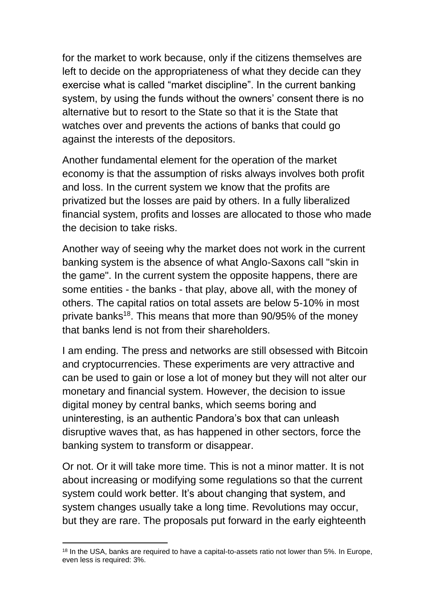for the market to work because, only if the citizens themselves are left to decide on the appropriateness of what they decide can they exercise what is called "market discipline". In the current banking system, by using the funds without the owners' consent there is no alternative but to resort to the State so that it is the State that watches over and prevents the actions of banks that could go against the interests of the depositors.

Another fundamental element for the operation of the market economy is that the assumption of risks always involves both profit and loss. In the current system we know that the profits are privatized but the losses are paid by others. In a fully liberalized financial system, profits and losses are allocated to those who made the decision to take risks.

Another way of seeing why the market does not work in the current banking system is the absence of what Anglo-Saxons call "skin in the game". In the current system the opposite happens, there are some entities - the banks - that play, above all, with the money of others. The capital ratios on total assets are below 5-10% in most private banks<sup>18</sup>. This means that more than 90/95% of the money that banks lend is not from their shareholders.

I am ending. The press and networks are still obsessed with Bitcoin and cryptocurrencies. These experiments are very attractive and can be used to gain or lose a lot of money but they will not alter our monetary and financial system. However, the decision to issue digital money by central banks, which seems boring and uninteresting, is an authentic Pandora's box that can unleash disruptive waves that, as has happened in other sectors, force the banking system to transform or disappear.

Or not. Or it will take more time. This is not a minor matter. It is not about increasing or modifying some regulations so that the current system could work better. It's about changing that system, and system changes usually take a long time. Revolutions may occur, but they are rare. The proposals put forward in the early eighteenth

<sup>-</sup><sup>18</sup> In the USA, banks are required to have a capital-to-assets ratio not lower than 5%. In Europe, even less is required: 3%.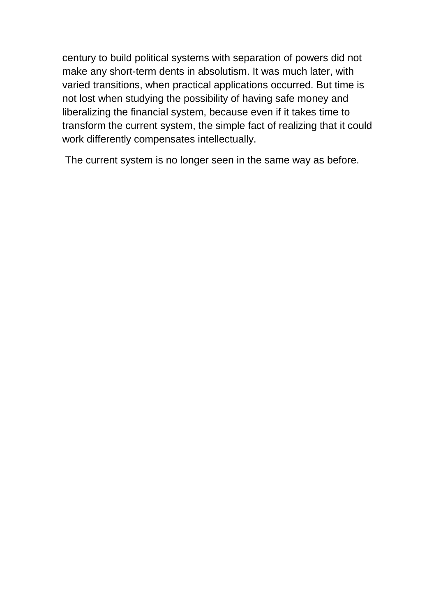century to build political systems with separation of powers did not make any short-term dents in absolutism. It was much later, with varied transitions, when practical applications occurred. But time is not lost when studying the possibility of having safe money and liberalizing the financial system, because even if it takes time to transform the current system, the simple fact of realizing that it could work differently compensates intellectually.

The current system is no longer seen in the same way as before.